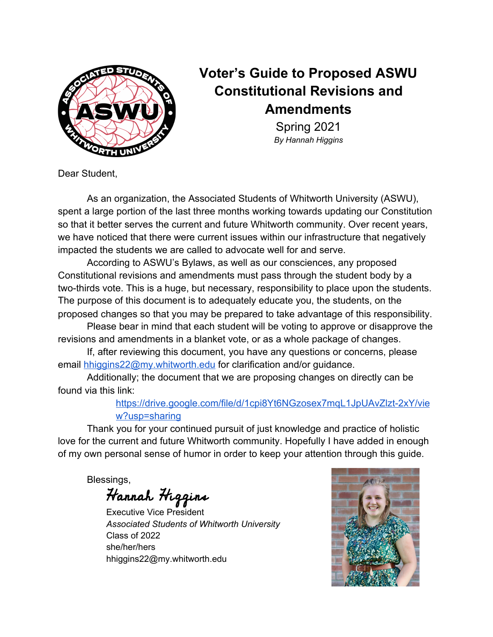

# **Voter's Guide to Proposed ASWU Constitutional Revisions and Amendments**

Spring 2021 *By Hannah Higgins*

Dear Student,

As an organization, the Associated Students of Whitworth University (ASWU), spent a large portion of the last three months working towards updating our Constitution so that it better serves the current and future Whitworth community. Over recent years, we have noticed that there were current issues within our infrastructure that negatively impacted the students we are called to advocate well for and serve.

According to ASWU's Bylaws, as well as our consciences, any proposed Constitutional revisions and amendments must pass through the student body by a two-thirds vote. This is a huge, but necessary, responsibility to place upon the students. The purpose of this document is to adequately educate you, the students, on the proposed changes so that you may be prepared to take advantage of this responsibility.

Please bear in mind that each student will be voting to approve or disapprove the revisions and amendments in a blanket vote, or as a whole package of changes.

If, after reviewing this document, you have any questions or concerns, please email [hhiggins22@my.whitworth.edu](mailto:hhiggins22@my.whitworth.edu) for clarification and/or guidance.

Additionally; the document that we are proposing changes on directly can be found via this link:

# [https://drive.google.com/file/d/1cpi8Yt6NGzosex7mqL1JpUAvZlzt-2xY/vie](https://drive.google.com/file/d/1cpi8Yt6NGzosex7mqL1JpUAvZlzt-2xY/view?usp=sharing) [w?usp=sharing](https://drive.google.com/file/d/1cpi8Yt6NGzosex7mqL1JpUAvZlzt-2xY/view?usp=sharing)

Thank you for your continued pursuit of just knowledge and practice of holistic love for the current and future Whitworth community. Hopefully I have added in enough of my own personal sense of humor in order to keep your attention through this guide.

Blessings,

Hannah Higgins

Executive Vice President *Associated Students of Whitworth University* Class of 2022 she/her/hers hhiggins22@my.whitworth.edu

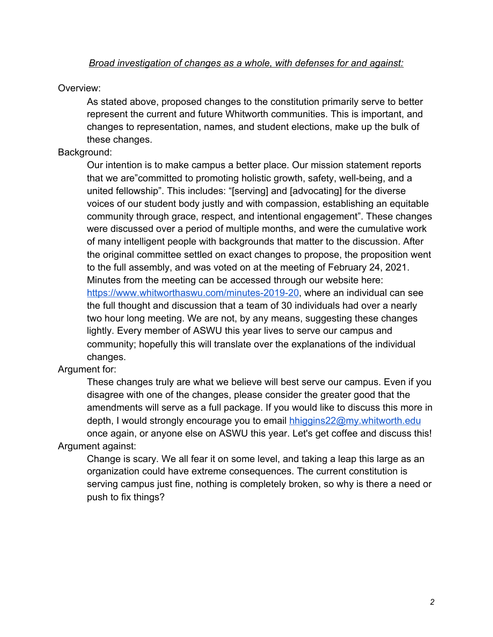# Overview:

As stated above, proposed changes to the constitution primarily serve to better represent the current and future Whitworth communities. This is important, and changes to representation, names, and student elections, make up the bulk of these changes.

# Background:

Our intention is to make campus a better place. Our mission statement reports that we are"committed to promoting holistic growth, safety, well-being, and a united fellowship". This includes: "[serving] and [advocating] for the diverse voices of our student body justly and with compassion, establishing an equitable community through grace, respect, and intentional engagement". These changes were discussed over a period of multiple months, and were the cumulative work of many intelligent people with backgrounds that matter to the discussion. After the original committee settled on exact changes to propose, the proposition went to the full assembly, and was voted on at the meeting of February 24, 2021. Minutes from the meeting can be accessed through our website here: <https://www.whitworthaswu.com/minutes-2019-20>, where an individual can see the full thought and discussion that a team of 30 individuals had over a nearly two hour long meeting. We are not, by any means, suggesting these changes lightly. Every member of ASWU this year lives to serve our campus and community; hopefully this will translate over the explanations of the individual changes.

# Argument for:

These changes truly are what we believe will best serve our campus. Even if you disagree with one of the changes, please consider the greater good that the amendments will serve as a full package. If you would like to discuss this more in depth, I would strongly encourage you to email [hhiggins22@my.whitworth.edu](mailto:hhiggins22@my.whitworth.edu) once again, or anyone else on ASWU this year. Let's get coffee and discuss this! Argument against:

Change is scary. We all fear it on some level, and taking a leap this large as an organization could have extreme consequences. The current constitution is serving campus just fine, nothing is completely broken, so why is there a need or push to fix things?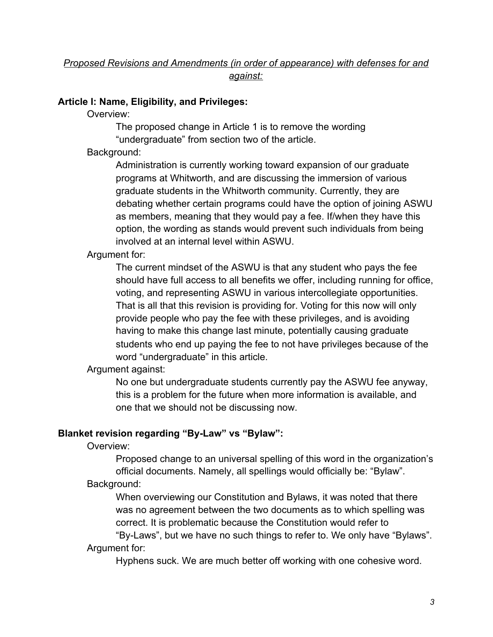# **Article I: Name, Eligibility, and Privileges:**

Overview:

The proposed change in Article 1 is to remove the wording "undergraduate" from section two of the article.

Background:

Administration is currently working toward expansion of our graduate programs at Whitworth, and are discussing the immersion of various graduate students in the Whitworth community. Currently, they are debating whether certain programs could have the option of joining ASWU as members, meaning that they would pay a fee. If/when they have this option, the wording as stands would prevent such individuals from being involved at an internal level within ASWU.

# Argument for:

The current mindset of the ASWU is that any student who pays the fee should have full access to all benefits we offer, including running for office, voting, and representing ASWU in various intercollegiate opportunities. That is all that this revision is providing for. Voting for this now will only provide people who pay the fee with these privileges, and is avoiding having to make this change last minute, potentially causing graduate students who end up paying the fee to not have privileges because of the word "undergraduate" in this article.

Argument against:

No one but undergraduate students currently pay the ASWU fee anyway, this is a problem for the future when more information is available, and one that we should not be discussing now.

# **Blanket revision regarding "By-Law" vs "Bylaw":**

Overview:

Proposed change to an universal spelling of this word in the organization's official documents. Namely, all spellings would officially be: "Bylaw". Background:

When overviewing our Constitution and Bylaws, it was noted that there was no agreement between the two documents as to which spelling was correct. It is problematic because the Constitution would refer to

"By-Laws", but we have no such things to refer to. We only have "Bylaws". Argument for:

Hyphens suck. We are much better off working with one cohesive word.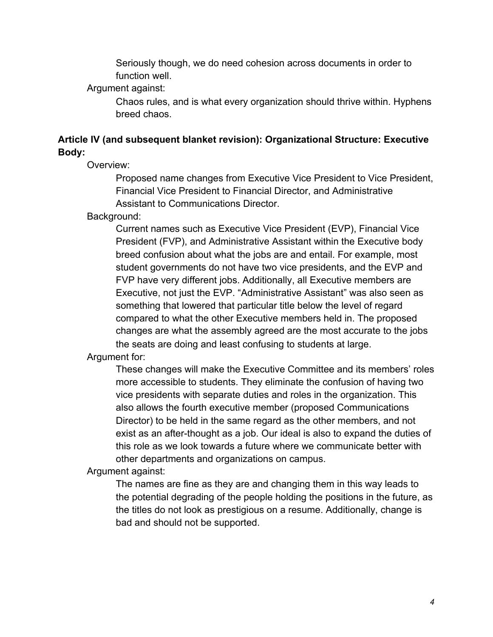Seriously though, we do need cohesion across documents in order to function well.

Argument against:

Chaos rules, and is what every organization should thrive within. Hyphens breed chaos.

# **Article IV (and subsequent blanket revision): Organizational Structure: Executive Body:**

Overview:

Proposed name changes from Executive Vice President to Vice President, Financial Vice President to Financial Director, and Administrative Assistant to Communications Director.

Background:

Current names such as Executive Vice President (EVP), Financial Vice President (FVP), and Administrative Assistant within the Executive body breed confusion about what the jobs are and entail. For example, most student governments do not have two vice presidents, and the EVP and FVP have very different jobs. Additionally, all Executive members are Executive, not just the EVP. "Administrative Assistant" was also seen as something that lowered that particular title below the level of regard compared to what the other Executive members held in. The proposed changes are what the assembly agreed are the most accurate to the jobs the seats are doing and least confusing to students at large.

Argument for:

These changes will make the Executive Committee and its members' roles more accessible to students. They eliminate the confusion of having two vice presidents with separate duties and roles in the organization. This also allows the fourth executive member (proposed Communications Director) to be held in the same regard as the other members, and not exist as an after-thought as a job. Our ideal is also to expand the duties of this role as we look towards a future where we communicate better with other departments and organizations on campus.

Argument against:

The names are fine as they are and changing them in this way leads to the potential degrading of the people holding the positions in the future, as the titles do not look as prestigious on a resume. Additionally, change is bad and should not be supported.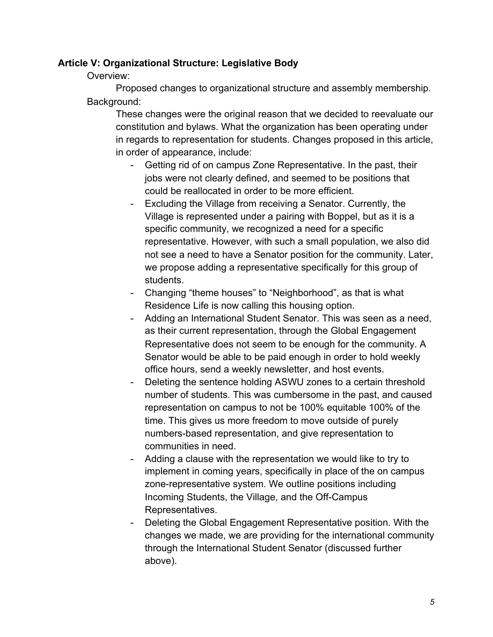#### **Article V: Organizational Structure: Legislative Body**

Overview:

Proposed changes to organizational structure and assembly membership. Background:

These changes were the original reason that we decided to reevaluate our constitution and bylaws. What the organization has been operating under in regards to representation for students. Changes proposed in this article, in order of appearance, include:

- Getting rid of on campus Zone Representative. In the past, their jobs were not clearly defined, and seemed to be positions that could be reallocated in order to be more efficient.
- Excluding the Village from receiving a Senator. Currently, the Village is represented under a pairing with Boppel, but as it is a specific community, we recognized a need for a specific representative. However, with such a small population, we also did not see a need to have a Senator position for the community. Later, we propose adding a representative specifically for this group of students.
- Changing "theme houses" to "Neighborhood", as that is what Residence Life is now calling this housing option.
- Adding an International Student Senator. This was seen as a need, as their current representation, through the Global Engagement Representative does not seem to be enough for the community. A Senator would be able to be paid enough in order to hold weekly office hours, send a weekly newsletter, and host events.
- Deleting the sentence holding ASWU zones to a certain threshold number of students. This was cumbersome in the past, and caused representation on campus to not be 100% equitable 100% of the time. This gives us more freedom to move outside of purely numbers-based representation, and give representation to communities in need.
- Adding a clause with the representation we would like to try to implement in coming years, specifically in place of the on campus zone-representative system. We outline positions including Incoming Students, the Village, and the Off-Campus Representatives.
- Deleting the Global Engagement Representative position. With the changes we made, we are providing for the international community through the International Student Senator (discussed further above).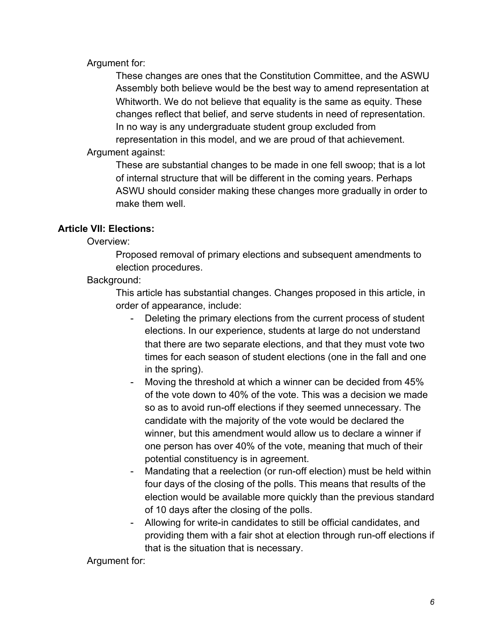Argument for:

These changes are ones that the Constitution Committee, and the ASWU Assembly both believe would be the best way to amend representation at Whitworth. We do not believe that equality is the same as equity. These changes reflect that belief, and serve students in need of representation. In no way is any undergraduate student group excluded from representation in this model, and we are proud of that achievement. Argument against:

These are substantial changes to be made in one fell swoop; that is a lot of internal structure that will be different in the coming years. Perhaps ASWU should consider making these changes more gradually in order to make them well.

## **Article VII: Elections:**

Overview:

Proposed removal of primary elections and subsequent amendments to election procedures.

Background:

This article has substantial changes. Changes proposed in this article, in order of appearance, include:

- Deleting the primary elections from the current process of student elections. In our experience, students at large do not understand that there are two separate elections, and that they must vote two times for each season of student elections (one in the fall and one in the spring).
- Moving the threshold at which a winner can be decided from 45% of the vote down to 40% of the vote. This was a decision we made so as to avoid run-off elections if they seemed unnecessary. The candidate with the majority of the vote would be declared the winner, but this amendment would allow us to declare a winner if one person has over 40% of the vote, meaning that much of their potential constituency is in agreement.
- Mandating that a reelection (or run-off election) must be held within four days of the closing of the polls. This means that results of the election would be available more quickly than the previous standard of 10 days after the closing of the polls.
- Allowing for write-in candidates to still be official candidates, and providing them with a fair shot at election through run-off elections if that is the situation that is necessary.

Argument for: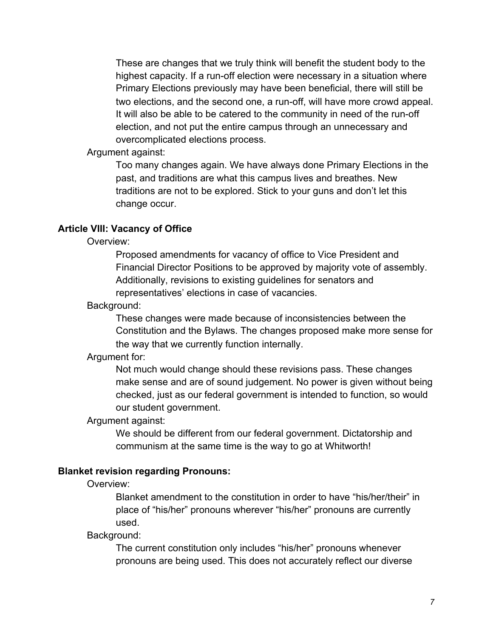These are changes that we truly think will benefit the student body to the highest capacity. If a run-off election were necessary in a situation where Primary Elections previously may have been beneficial, there will still be two elections, and the second one, a run-off, will have more crowd appeal. It will also be able to be catered to the community in need of the run-off election, and not put the entire campus through an unnecessary and overcomplicated elections process.

Argument against:

Too many changes again. We have always done Primary Elections in the past, and traditions are what this campus lives and breathes. New traditions are not to be explored. Stick to your guns and don't let this change occur.

## **Article VIII: Vacancy of Office**

Overview:

Proposed amendments for vacancy of office to Vice President and Financial Director Positions to be approved by majority vote of assembly. Additionally, revisions to existing guidelines for senators and representatives' elections in case of vacancies.

#### Background:

These changes were made because of inconsistencies between the Constitution and the Bylaws. The changes proposed make more sense for the way that we currently function internally.

#### Argument for:

Not much would change should these revisions pass. These changes make sense and are of sound judgement. No power is given without being checked, just as our federal government is intended to function, so would our student government.

#### Argument against:

We should be different from our federal government. Dictatorship and communism at the same time is the way to go at Whitworth!

## **Blanket revision regarding Pronouns:**

Overview:

Blanket amendment to the constitution in order to have "his/her/their" in place of "his/her" pronouns wherever "his/her" pronouns are currently used.

Background:

The current constitution only includes "his/her" pronouns whenever pronouns are being used. This does not accurately reflect our diverse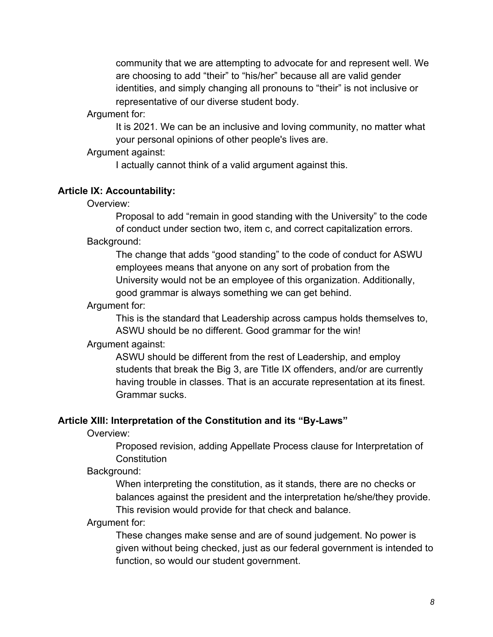community that we are attempting to advocate for and represent well. We are choosing to add "their" to "his/her" because all are valid gender identities, and simply changing all pronouns to "their" is not inclusive or representative of our diverse student body.

Argument for:

It is 2021. We can be an inclusive and loving community, no matter what your personal opinions of other people's lives are.

Argument against:

I actually cannot think of a valid argument against this.

# **Article IX: Accountability:**

Overview:

Proposal to add "remain in good standing with the University" to the code of conduct under section two, item c, and correct capitalization errors. Background:

The change that adds "good standing" to the code of conduct for ASWU employees means that anyone on any sort of probation from the University would not be an employee of this organization. Additionally, good grammar is always something we can get behind.

## Argument for:

This is the standard that Leadership across campus holds themselves to, ASWU should be no different. Good grammar for the win!

## Argument against:

ASWU should be different from the rest of Leadership, and employ students that break the Big 3, are Title IX offenders, and/or are currently having trouble in classes. That is an accurate representation at its finest. Grammar sucks.

## **Article XIII: Interpretation of the Constitution and its "By-Laws"**

Overview:

Proposed revision, adding Appellate Process clause for Interpretation of **Constitution** 

## Background:

When interpreting the constitution, as it stands, there are no checks or balances against the president and the interpretation he/she/they provide. This revision would provide for that check and balance.

## Argument for:

These changes make sense and are of sound judgement. No power is given without being checked, just as our federal government is intended to function, so would our student government.